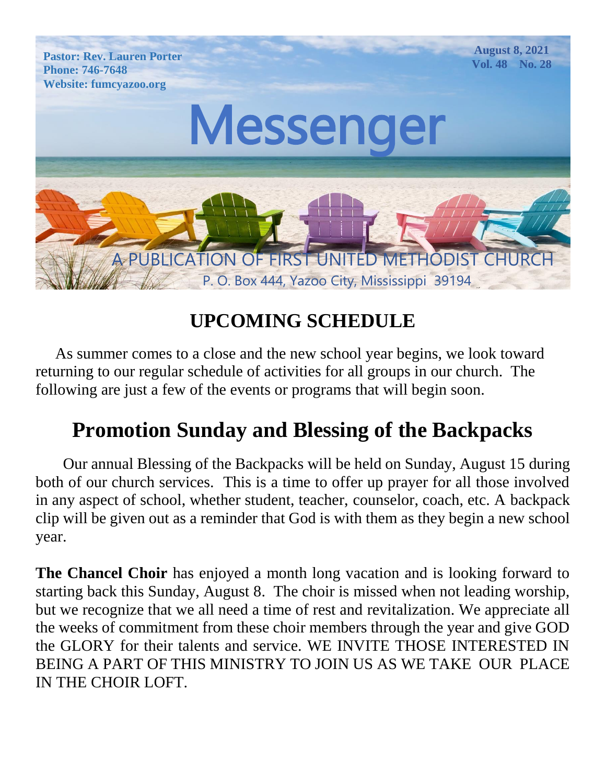

# **UPCOMING SCHEDULE**

 As summer comes to a close and the new school year begins, we look toward returning to our regular schedule of activities for all groups in our church. The following are just a few of the events or programs that will begin soon.

# **Promotion Sunday and Blessing of the Backpacks**

 Our annual Blessing of the Backpacks will be held on Sunday, August 15 during both of our church services. This is a time to offer up prayer for all those involved in any aspect of school, whether student, teacher, counselor, coach, etc. A backpack clip will be given out as a reminder that God is with them as they begin a new school year.

**The Chancel Choir** has enjoyed a month long vacation and is looking forward to starting back this Sunday, August 8. The choir is missed when not leading worship, but we recognize that we all need a time of rest and revitalization. We appreciate all the weeks of commitment from these choir members through the year and give GOD the GLORY for their talents and service. WE INVITE THOSE INTERESTED IN BEING A PART OF THIS MINISTRY TO JOIN US AS WE TAKE OUR PLACE IN THE CHOIR LOFT.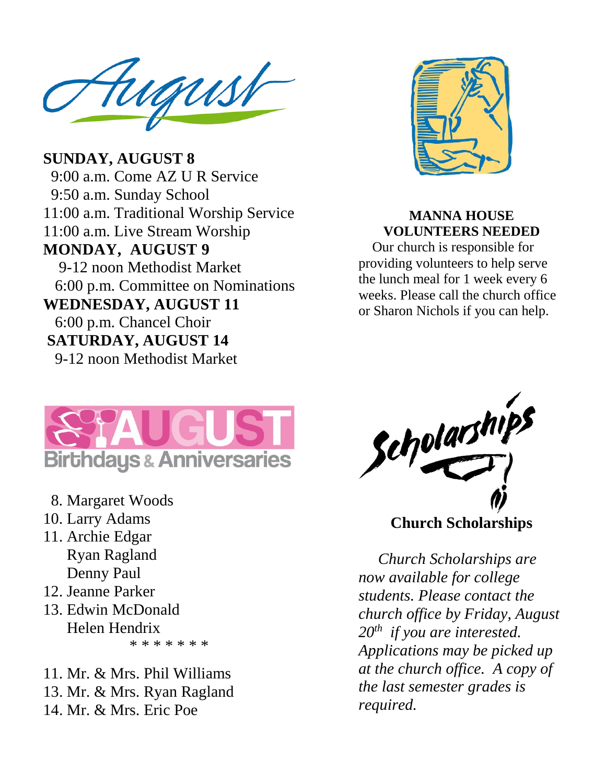TUGUSI  $\blacksquare$ Website: fumcyazoo.org

**MONDAY, AUGUST 9** 9-12 noon Methodist Market 6:00 p.m. Committee on Nominations **SUNDAY, AUGUST 8** 9:00 a.m. Come AZ U R Service 9:50 a.m. Sunday School 11:00 a.m. Traditional Worship Service 11:00 a.m. Live Stream Worship **WEDNESDAY, AUGUST 11** 6:00 p.m. Chancel Choir **SATURDAY, AUGUST 14** 9-12 noon Methodist Market



#### **MANNA HOUSE VOLUNTEERS NEEDED**

 Our church is responsible for providing volunteers to help serve the lunch meal for 1 week every 6 weeks. Please call the church office or Sharon Nichols if you can help.



- 8. Margaret Woods
- 10. Larry Adams
- 11. Archie Edgar Ryan Ragland Denny Paul
- 12. Jeanne Parker
- 13. Edwin McDonald Helen Hendrix \* \* \* \* \* \* \*

11. Mr. & Mrs. Phil Williams 13. Mr. & Mrs. Ryan Ragland 14. Mr. & Mrs. Eric Poe



 *Church Scholarships are now available for college students. Please contact the church office by Friday, August 20 th if you are interested. Applications may be picked up at the church office. A copy of the last semester grades is required.*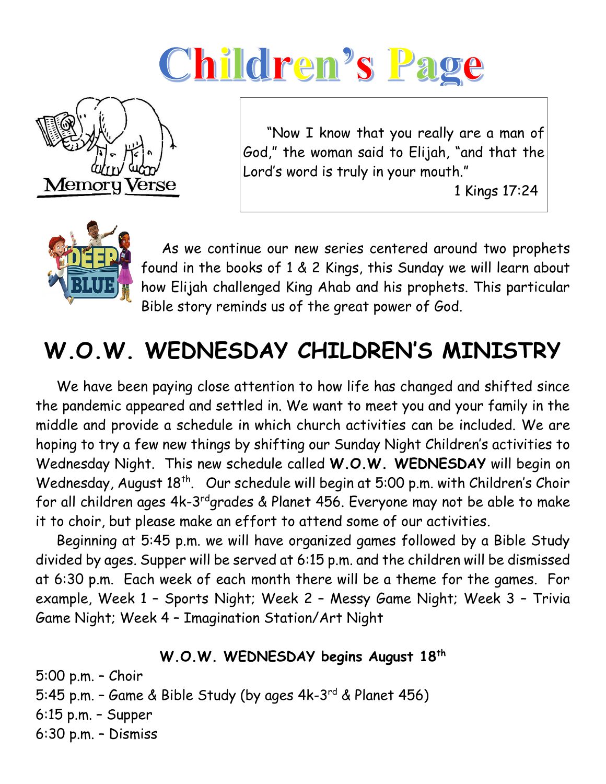# Children's Page



 "Now I know that you really are a man of God," the woman said to Elijah, "and that the Lord's word is truly in your mouth."

1 Kings 17:24



 As we continue our new series centered around two prophets found in the books of 1 & 2 Kings, this Sunday we will learn about how Elijah challenged King Ahab and his prophets. This particular Bible story reminds us of the great power of God.

# **W.O.W. WEDNESDAY CHILDREN'S MINISTRY**

 We have been paying close attention to how life has changed and shifted since the pandemic appeared and settled in. We want to meet you and your family in the middle and provide a schedule in which church activities can be included. We are hoping to try a few new things by shifting our Sunday Night Children's activities to Wednesday Night. This new schedule called **W.O.W. WEDNESDAY** will begin on Wednesday, August 18<sup>th</sup>. Our schedule will begin at 5:00 p.m. with Children's Choir for all children ages 4k-3<sup>rd</sup>grades & Planet 456. Everyone may not be able to make it to choir, but please make an effort to attend some of our activities.

 Beginning at 5:45 p.m. we will have organized games followed by a Bible Study divided by ages. Supper will be served at 6:15 p.m. and the children will be dismissed at 6:30 p.m. Each week of each month there will be a theme for the games. For example, Week 1 – Sports Night; Week 2 – Messy Game Night; Week 3 – Trivia Game Night; Week 4 – Imagination Station/Art Night

#### **W.O.W. WEDNESDAY begins August 18th**

5:00 p.m. – Choir 5:45 p.m. – Game & Bible Study (by ages 4k-3<sup>rd</sup> & Planet 456) 6:15 p.m. – Supper 6:30 p.m. – Dismiss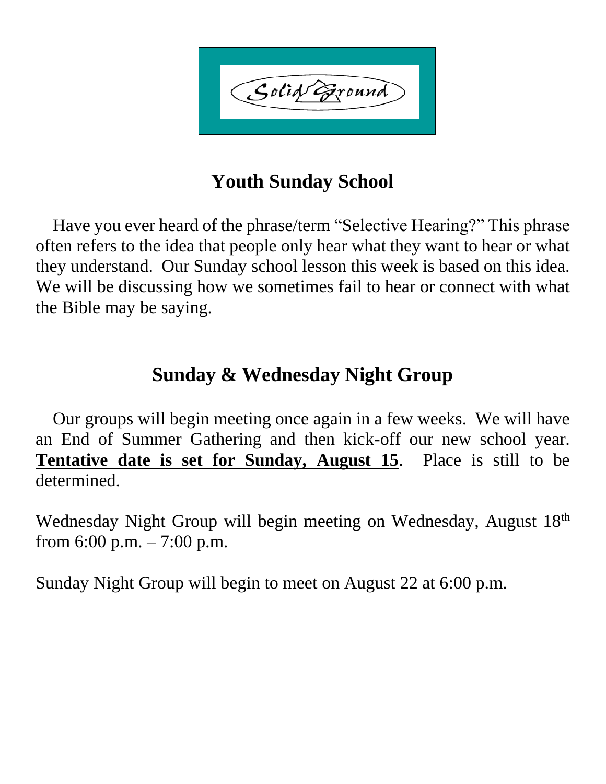Solid Exound

## **Youth Sunday School**

 Have you ever heard of the phrase/term "Selective Hearing?" This phrase often refers to the idea that people only hear what they want to hear or what they understand. Our Sunday school lesson this week is based on this idea. We will be discussing how we sometimes fail to hear or connect with what the Bible may be saying.

### **Sunday & Wednesday Night Group**

 Our groups will begin meeting once again in a few weeks. We will have an End of Summer Gathering and then kick-off our new school year. **Tentative date is set for Sunday, August 15**. Place is still to be determined.

Wednesday Night Group will begin meeting on Wednesday, August 18<sup>th</sup> from 6:00 p.m.  $-7:00$  p.m.

Sunday Night Group will begin to meet on August 22 at 6:00 p.m.